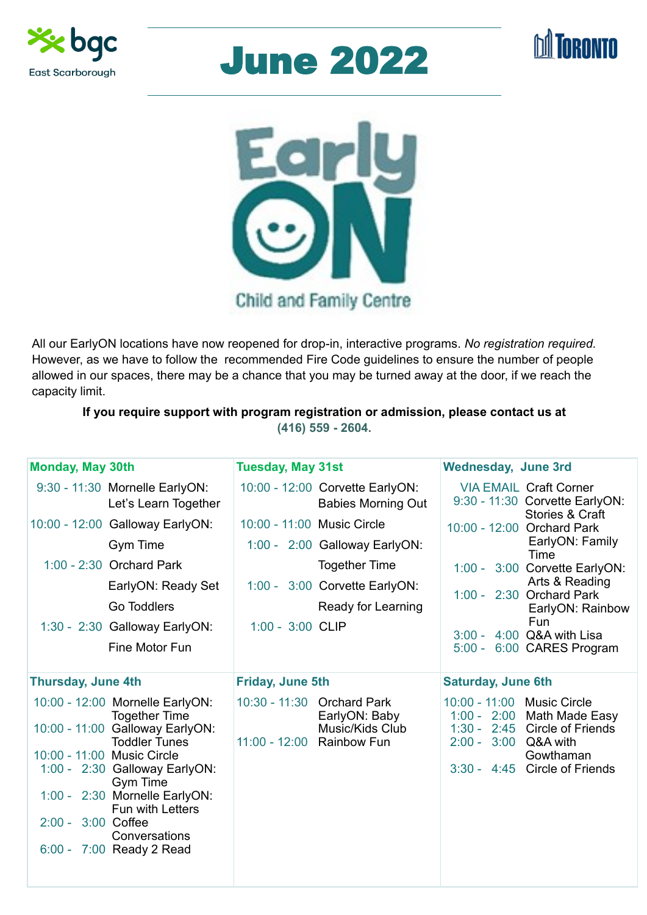| <b>Monday, May 30th</b>                                | <b>Tuesday, May 31st</b>                                     | <b>Wednesday, June 3rd</b>                                           |
|--------------------------------------------------------|--------------------------------------------------------------|----------------------------------------------------------------------|
| 9:30 - 11:30 Mornelle EarlyON:<br>Let's Learn Together | 10:00 - 12:00 Corvette EarlyON:<br><b>Babies Morning Out</b> | <b>VIA EMAIL Craft Corner</b><br>9:30 - 11:30 Corvette EarlyON:      |
| 10:00 - 12:00 Galloway EarlyON:                        | 10:00 - 11:00 Music Circle                                   | <b>Stories &amp; Craft</b><br>10:00 - 12:00 Orchard Park             |
| <b>Gym Time</b>                                        | $1:00 - 2:00$ Galloway EarlyON:                              | EarlyON: Family<br>Time                                              |
| $1:00 - 2:30$ Orchard Park                             | <b>Together Time</b>                                         | 1:00 - 3:00 Corvette EarlyON:                                        |
| EarlyON: Ready Set                                     | 1:00 - 3:00 Corvette EarlyON:                                | Arts & Reading<br>1:00 - 2:30 Orchard Park                           |
| <b>Go Toddlers</b>                                     | <b>Ready for Learning</b>                                    | EarlyON: Rainbow                                                     |
| 1:30 - 2:30 Galloway EarlyON:<br>Fine Motor Fun        | $1:00 - 3:00$ CLIP                                           | <b>Fun</b><br>3:00 - 4:00 Q&A with Lisa<br>5:00 - 6:00 CARES Program |
| <b>Thursday, June 4th</b>                              | Friday, June 5th                                             | <b>Saturday, June 6th</b>                                            |

10:00 - 12:00 Mornelle EarlyON: Together Time 10:00 - 11:00 Galloway EarlyON: Toddler Tunes 10:00 - 11:00 Music Circle 1:00 - 2:30 Galloway EarlyON: Gym Time 1:00 - 2:30 Mornelle EarlyON: Fun with Letters 2:00 - 3:00 Coffee **Conversations** 6:00 - 7:00 Ready 2 Read

10:30 - 11:30 Orchard Park EarlyON: Baby Music/Kids Club 11:00 - 12:00 Rainbow Fun

10:00 - 11:00 Music Circle 1:00 - 2:00 Math Made Easy 1:30 - 2:45 Circle of Friends 2:00 - 3:00 Q&A with Gowthaman 3:30 - 4:45 Circle of Friends









All our EarlyON locations have now reopened for drop-in, interactive programs. *No registration required.*  However, as we have to follow the recommended Fire Code guidelines to ensure the number of people allowed in our spaces, there may be a chance that you may be turned away at the door, if we reach the capacity limit.

**If you require support with program registration or admission, please contact us at (416) 559 - 2604.**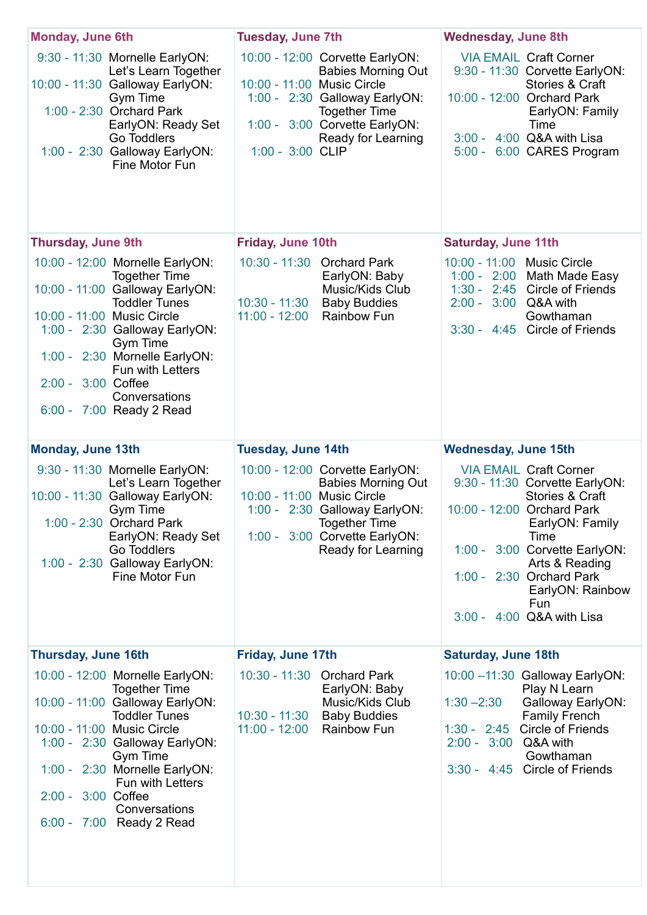| <b>Monday, June 6th</b>                                                                                                                                                                                                                                                                                                               | <b>Tuesday, June 7th</b>                                                                                                                                                                                                         | <b>Wednesday, June 8th</b>                                                                                                                                                                                                                                                                           |
|---------------------------------------------------------------------------------------------------------------------------------------------------------------------------------------------------------------------------------------------------------------------------------------------------------------------------------------|----------------------------------------------------------------------------------------------------------------------------------------------------------------------------------------------------------------------------------|------------------------------------------------------------------------------------------------------------------------------------------------------------------------------------------------------------------------------------------------------------------------------------------------------|
| 9:30 - 11:30 Mornelle EarlyON:<br>Let's Learn Together<br>10:00 - 11:30 Galloway EarlyON:<br><b>Gym Time</b><br>1:00 - 2:30 Orchard Park<br>EarlyON: Ready Set<br><b>Go Toddlers</b><br>1:00 - 2:30 Galloway EarlyON:<br>Fine Motor Fun                                                                                               | 10:00 - 12:00 Corvette EarlyON:<br><b>Babies Morning Out</b><br>10:00 - 11:00 Music Circle<br>1:00 - 2:30 Galloway EarlyON:<br><b>Together Time</b><br>1:00 - 3:00 Corvette EarlyON:<br>Ready for Learning<br>$1:00 - 3:00$ CLIP | <b>VIA EMAIL Craft Corner</b><br>9:30 - 11:30 Corvette EarlyON:<br><b>Stories &amp; Craft</b><br>10:00 - 12:00 Orchard Park<br>EarlyON: Family<br>Time<br>$3:00 - 4:00$ Q&A with Lisa<br>6:00 CARES Program<br>$5:00 -$                                                                              |
| <b>Thursday, June 9th</b>                                                                                                                                                                                                                                                                                                             | <b>Friday, June 10th</b>                                                                                                                                                                                                         | <b>Saturday, June 11th</b>                                                                                                                                                                                                                                                                           |
| 10:00 - 12:00 Mornelle EarlyON:<br><b>Together Time</b><br>10:00 - 11:00 Galloway EarlyON:<br><b>Toddler Tunes</b><br>10:00 - 11:00 Music Circle<br>1:00 - 2:30 Galloway EarlyON:<br><b>Gym Time</b><br>1:00 - 2:30 Mornelle EarlyON:<br><b>Fun with Letters</b><br>$2:00 - 3:00$ Coffee<br>Conversations<br>6:00 - 7:00 Ready 2 Read | $10:30 - 11:30$<br><b>Orchard Park</b><br>EarlyON: Baby<br>Music/Kids Club<br>10:30 - 11:30 Baby Buddies<br><b>Rainbow Fun</b><br>$11:00 - 12:00$                                                                                | 10:00 - 11:00 Music Circle<br>1:00 - 2:00 Math Made Easy<br>$1:30 - 2:45$ Circle of Friends<br>$2:00 - 3:00$ Q&A with<br>Gowthaman<br>3:30 - 4:45 Circle of Friends                                                                                                                                  |
| <b>Monday, June 13th</b>                                                                                                                                                                                                                                                                                                              | <b>Tuesday, June 14th</b>                                                                                                                                                                                                        | <b>Wednesday, June 15th</b>                                                                                                                                                                                                                                                                          |
| 9:30 - 11:30 Mornelle EarlyON:<br>Let's Learn Together<br>10:00 - 11:30 Galloway EarlyON:<br><b>Gym Time</b><br>1:00 - 2:30 Orchard Park<br>EarlyON: Ready Set<br><b>Go Toddlers</b><br>1:00 - 2:30 Galloway EarlyON:<br>Fine Motor Fun                                                                                               | 10:00 - 12:00 Corvette EarlyON:<br><b>Babies Morning Out</b><br>10:00 - 11:00 Music Circle<br>1:00 - 2:30 Galloway EarlyON:<br><b>Together Time</b><br>1:00 - 3:00 Corvette EarlyON:<br><b>Ready for Learning</b>                | <b>VIA EMAIL Craft Corner</b><br>9:30 - 11:30 Corvette EarlyON:<br><b>Stories &amp; Craft</b><br>10:00 - 12:00 Orchard Park<br>EarlyON: Family<br>Time<br>1:00 - 3:00 Corvette EarlyON:<br>Arts & Reading<br>1:00 - 2:30 Orchard Park<br>EarlyON: Rainbow<br><b>Fun</b><br>3:00 - 4:00 Q&A with Lisa |
| <b>Thursday, June 16th</b>                                                                                                                                                                                                                                                                                                            | <b>Friday, June 17th</b>                                                                                                                                                                                                         | <b>Saturday, June 18th</b>                                                                                                                                                                                                                                                                           |
| 10:00 - 12:00 Mornelle EarlyON:<br><b>Together Time</b>                                                                                                                                                                                                                                                                               | 10:30 - 11:30<br><b>Orchard Park</b><br>EarlyON: Baby                                                                                                                                                                            | 10:00 -11:30 Galloway EarlyON:<br>Play N Learn                                                                                                                                                                                                                                                       |

10:00 - 11:00 Galloway EarlyON: Toddler Tunes 10:00 - 11:00 Music Circle 1:00 - 2:30 Galloway EarlyON: Gym Time 1:00 - 2:30 Mornelle EarlyON: Fun with Letters 2:00 - 3:00 Coffee **Conversations** 6:00 - 7:00 Ready 2 Read

 Music/Kids Club 10:30 - 11:30 Baby Buddies 11:00 - 12:00 Rainbow Fun

1:30 –2:30 Galloway EarlyON: Family French 1:30 - 2:45 Circle of Friends 2:00 - 3:00 Q&A with Gowthaman 3:30 - 4:45 Circle of Friends